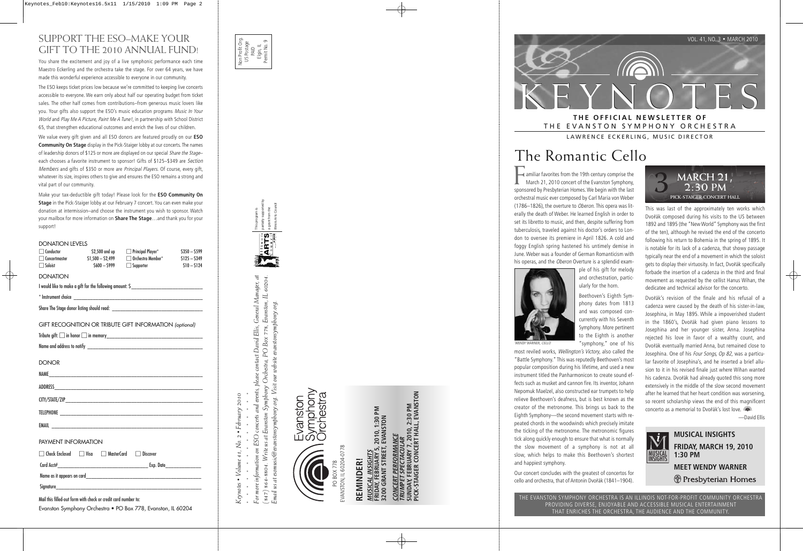

THE EVANSTON SYMPHONY ORCHESTRA LAWRENCE ECKERLING, MUSIC DIRECTOR

The Romantic Cello

amiliar favorites from the 19th century comprise the March 21, 2010 concert of the Evanston Symphony, sponsored by Presbyterian Homes. We begin with the last orchestral music ever composed by Carl Maria von Weber (1786–1826), the overture to Oberon. This opera was literally the death of Weber. He learned English in order to set its libretto to music, and then, despite suffering from tuberculosis, traveled against his doctor's orders to London to oversee its premiere in April 1826. A cold and foggy English spring hastened his untimely demise in June. Weber was a founder of German Romanticism with his operas, and the *Oberon* Overture is a splendid exam-



WENDY WARNER, CELLO

ple of his gift for melody and orchestration, particularly for the horn.

Beethoven's Eighth Symphony dates from 1813 and was composed concurrently with his Seventh Symphony. More pertinent to the Eighth is another "symphony," one of his

most reviled works, Wellington's Victory, also called the "Battle Symphony." This was reputedly Beethoven's most popular composition during his lifetime, and used a new instrument titled the Panharmonicon to create sound effects such as musket and cannon fire. Its inventor, Johann Nepomuk Maelzel, also constructed ear trumpets to help relieve Beethoven's deafness, but is best known as the creator of the metronome. This brings us back to the Eighth Symphony—the second movement starts with repeated chords in the woodwinds which precisely imitate the ticking of the metronome. The metronomic figures tick along quickly enough to ensure that what is normally the slow movement of a symphony is not at all slow, which helps to make this Beethoven's shortest and happiest symphony.

Our concert concludes with the greatest of concertos for cello and orchestra, that of Antonin Dvo řák (1841–1904).



This was last of the approximately ten works which Dvo řák composed during his visits to the US between 1892 and 1895 (the "New World" Symphony was the first of the ten), although he revised the end of the concerto following his return to Bohemia in the spring of 1895. It is notable for its lack of a cadenza, that showy passage typically near the end of a movement in which the soloist gets to display their virtuosity. In fact, Dvo řák specifically forbade the insertion of a cadenza in the third and final movement as requested by the cellist Hanus Wihan, the dedicatee and technical advisor for the concerto.

Dvo řák's revision of the finale and his refusal of a cadenza were caused by the death of his sister-in-law, Josephina, in May 1895. While a impoverished student in the 1860's, Dvo řák had given piano lessons to Josephina and her younger sister, Anna. Josephina rejected his love in favor of a wealthy count, and Dvo řák eventually married Anna, but remained close to Josephina. One of his Four Songs, Op 82, was a particular favorite of Josephina's, and he inserted a brief allusion to it in his revised finale just where Wihan wanted his cadenza. Dvo řák had already quoted this song more extensively in the middle of the slow second movement after he learned that her heart condition was worsening, so recent scholarship views the end of this magnificent concerto as a memorial to Dvo řák's lost love.

—David Ellis



**MUSICAL INSIGHTS FRIDAY, MARCH 19, 2010 1:30 PM MEET WENDY WARNER**  (†) Presbyterian Homes

THE EVANSTON SYMPHONY ORCHESTRA IS AN ILLINOIS NOT-FOR-PROFIT COMMUNITY ORCHESTRA PROVIDING DIVERSE, ENJOYABLE AND ACCESSIBLE MUSICAL ENTERTAINMENT THAT ENRICHES THE ORCHESTRA, THE AUDIENCE AND THE COMMUNITY.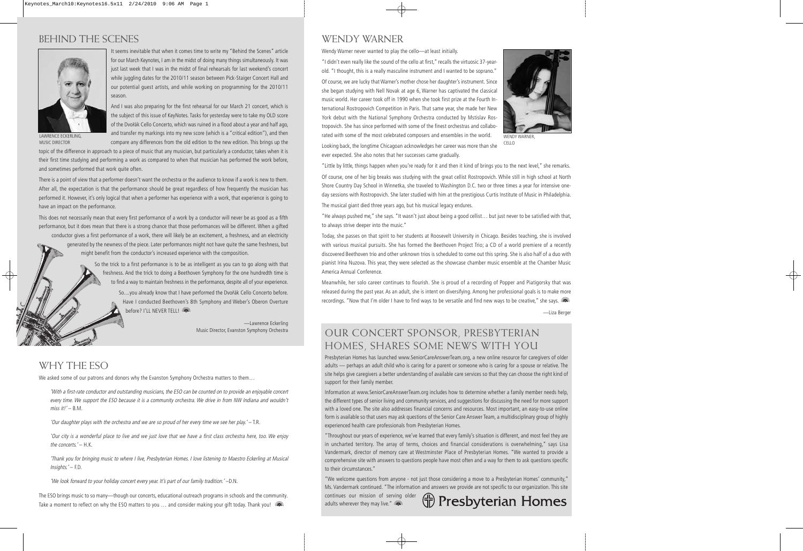# BEHIND THE SCENES



It seems inevitable that when it comes time to write my "Behind the Scenes" article for our March Keynotes, I am in the midst of doing many things simultaneously. It was just last week that I was in the midst of final rehearsals for last weekend's concert while juggling dates for the 2010/11 season between Pick-Staiger Concert Hall and our potential guest artists, and while working on programming for the 2010/11 season.

And I was also preparing for the first rehearsal for our March 21 concert, which is the subject of this issue of KeyNotes. Tasks for yesterday were to take my OLD score of the Dvořák Cello Concerto, which was ruined in a flood about a year and half ago, and transfer my markings into my new score (which is a "critical edition"), and then compare any differences from the old edition to the new edition. This brings up the

LAWRENCE ECKERLING, MUSIC DIRECTOR

topic of the difference in approach to a piece of music that any musician, but particularly a conductor, takes when it is their first time studying and performing a work as compared to when that musician has performed the work before, and sometimes performed that work quite often.

There is a point of view that a performer doesn't want the orchestra or the audience to know if a work is new to them. After all, the expectation is that the performance should be great regardless of how frequently the musician has performed it. However, it's only logical that when a performer has experience with a work, that experience is going to have an impact on the performance.

This does not necessarily mean that every first performance of a work by a conductor will never be as good as a fifth performance, but it does mean that there is a strong chance that those performances will be different. When a gifted conductor gives a first performance of a work, there will likely be an excitement, a freshness, and an electricity generated by the newness of the piece. Later performances might not have quite the same freshness, but

might benefit from the conductor's increased experience with the composition.

So the trick to a first performance is to be as intelligent as you can to go along with that freshness. And the trick to doing a Beethoven Symphony for the one hundredth time is to find a way to maintain freshness in the performance, despite all of your experience.

> So....you already know that I have performed the Dvořák Cello Concerto before. Have I conducted Beethoven's 8th Symphony and Weber's Oberon Overture before? I'LL NEVER TELL!

> > —Lawrence Eckerling Music Director, Evanston Symphony Orchestra

## WHY THE ESO

We asked some of our patrons and donors why the Evanston Symphony Orchestra matters to them...

'With a first-rate conductor and outstanding musicians, the ESO can be counted on to provide an enjoyable concert every time. We support the ESO because it is a community orchestra. We drive in from NW Indiana and wouldn't miss it!' $-$  B.M.

'Our daughter plays with the orchestra and we are so proud of her every time we see her play.' – T.R.

'Our city is a wonderful place to live and we just love that we have a first class orchestra here, too. We enjoy the concerts.' – H.K.

'Thank you for bringing music to where I live, Presbyterian Homes. I love listening to Maestro Eckerling at Musical Insights.' – F.D.

'We look forward to your holiday concert every year. It's part of our family tradition.' –D.N.

The ESO brings music to so many—though our concerts, educational outreach programs in schools and the community. Take a moment to reflect on why the ESO matters to you ... and consider making your gift today. Thank you!

#### WENDY WARNER

Wendy Warner never wanted to play the cello—at least initially.

"I didn't even really like the sound of the cello at first," recalls the virtuosic 37-yearold. "I thought, this is a really masculine instrument and I wanted to be soprano." Of course, we are lucky that Warner's mother chose her daughter's instrument. Since she began studying with Nell Novak at age 6, Warner has captivated the classical music world. Her career took off in 1990 when she took first prize at the Fourth International Rostropovich Competition in Paris. That same year, she made her New York debut with the National Symphony Orchestra conducted by Mstislav Rostropovich. She has since performed with some of the finest orchestras and collaborated with some of the most celebrated composers and ensembles in the world.



WENDY WARNER CELLO

Looking back, the longtime Chicagoan acknowledges her career was more than she ever expected. She also notes that her successes came gradually.

"Little by little, things happen when you're ready for it and then it kind of brings you to the next level," she remarks.

Of course, one of her big breaks was studying with the great cellist Rostropovich. While still in high school at North Shore Country Day School in Winnetka, she traveled to Washington D.C. two or three times a year for intensive oneday sessions with Rostropovich. She later studied with him at the prestigious Curtis Institute of Music in Philadelphia. The musical giant died three years ago, but his musical legacy endures.

"He always pushed me," she says. "It wasn't just about being a good cellist… but just never to be satisfied with that, to always strive deeper into the music."

Today, she passes on that spirit to her students at Roosevelt University in Chicago. Besides teaching, she is involved with various musical pursuits. She has formed the Beethoven Project Trio; a CD of a world premiere of a recently discovered Beethoven trio and other unknown trios is scheduled to come out this spring. She is also half of a duo with pianist Irina Nuzova. This year, they were selected as the showcase chamber music ensemble at the Chamber Music America Annual Conference.

Meanwhile, her solo career continues to flourish. She is proud of a recording of Popper and Piatigorsky that was released during the past year. As an adult, she is intent on diversifying. Among her professional goals is to make more recordings. "Now that I'm older I have to find ways to be versatile and find new ways to be creative," she says.

—Liza Berger

### OUR CONCERT SPONSOR, PRESBYTERIAN HOMES, SHARES SOME NEWS WITH YOU

Presbyterian Homes has launched www.SeniorCareAnswerTeam.org, a new online resource for caregivers of older adults — perhaps an adult child who is caring for a parent or someone who is caring for a spouse or relative. The site helps give caregivers a better understanding of available care services so that they can choose the right kind of support for their family member.

Information at www.SeniorCareAnswerTeam.org includes how to determine whether a family member needs help, the different types of senior living and community services, and suggestions for discussing the need for more support with a loved one. The site also addresses financial concerns and resources. Most important, an easy-to-use online form is available so that users may ask questions of the Senior Care Answer Team, a multidisciplinary group of highly experienced health care professionals from Presbyterian Homes.

"Throughout our years of experience, we've learned that every family's situation is different, and most feel they are in uncharted territory. The array of terms, choices and financial considerations is overwhelming," says Lisa Vandermark, director of memory care at Westminster Place of Presbyterian Homes. "We wanted to provide a comprehensive site with answers to questions people have most often and a way for them to ask questions specific to their circumstances."

"We welcome questions from anyone - not just those considering a move to a Presbyterian Homes' community," Ms. Vandermark continued. "The information and answers we provide are not specific to our organization. This site

continues our mission of serving older adults wherever they may live." **(20)** 

**H** Presbyterian Homes